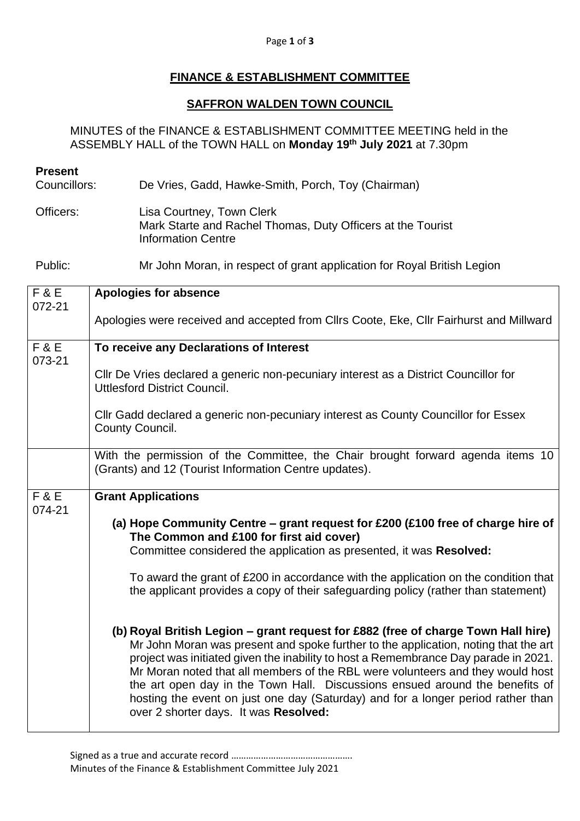## Page **1** of **3**

## **FINANCE & ESTABLISHMENT COMMITTEE**

## **SAFFRON WALDEN TOWN COUNCIL**

MINUTES of the FINANCE & ESTABLISHMENT COMMITTEE MEETING held in the ASSEMBLY HALL of the TOWN HALL on **Monday 19th July 2021** at 7.30pm

## **Present**

Councillors: De Vries, Gadd, Hawke-Smith, Porch, Toy (Chairman)

Officers: Lisa Courtney, Town Clerk Mark Starte and Rachel Thomas, Duty Officers at the Tourist Information Centre

Public: Mr John Moran, in respect of grant application for Royal British Legion

| <b>F&amp;E</b><br>072-21 | <b>Apologies for absence</b>                                                                                                                                                                                                                                                                                                                                                                                                                                                                                                                                   |
|--------------------------|----------------------------------------------------------------------------------------------------------------------------------------------------------------------------------------------------------------------------------------------------------------------------------------------------------------------------------------------------------------------------------------------------------------------------------------------------------------------------------------------------------------------------------------------------------------|
|                          | Apologies were received and accepted from Cllrs Coote, Eke, Cllr Fairhurst and Millward                                                                                                                                                                                                                                                                                                                                                                                                                                                                        |
| <b>F&amp;E</b><br>073-21 | To receive any Declarations of Interest                                                                                                                                                                                                                                                                                                                                                                                                                                                                                                                        |
|                          | CIIr De Vries declared a generic non-pecuniary interest as a District Councillor for<br><b>Uttlesford District Council.</b>                                                                                                                                                                                                                                                                                                                                                                                                                                    |
|                          | CIIr Gadd declared a generic non-pecuniary interest as County Councillor for Essex<br>County Council.                                                                                                                                                                                                                                                                                                                                                                                                                                                          |
|                          | With the permission of the Committee, the Chair brought forward agenda items 10<br>(Grants) and 12 (Tourist Information Centre updates).                                                                                                                                                                                                                                                                                                                                                                                                                       |
| <b>F&amp;E</b><br>074-21 | <b>Grant Applications</b>                                                                                                                                                                                                                                                                                                                                                                                                                                                                                                                                      |
|                          | (a) Hope Community Centre - grant request for £200 (£100 free of charge hire of<br>The Common and £100 for first aid cover)<br>Committee considered the application as presented, it was Resolved:                                                                                                                                                                                                                                                                                                                                                             |
|                          | To award the grant of £200 in accordance with the application on the condition that<br>the applicant provides a copy of their safeguarding policy (rather than statement)                                                                                                                                                                                                                                                                                                                                                                                      |
|                          | (b) Royal British Legion – grant request for £882 (free of charge Town Hall hire)<br>Mr John Moran was present and spoke further to the application, noting that the art<br>project was initiated given the inability to host a Remembrance Day parade in 2021.<br>Mr Moran noted that all members of the RBL were volunteers and they would host<br>the art open day in the Town Hall. Discussions ensued around the benefits of<br>hosting the event on just one day (Saturday) and for a longer period rather than<br>over 2 shorter days. It was Resolved: |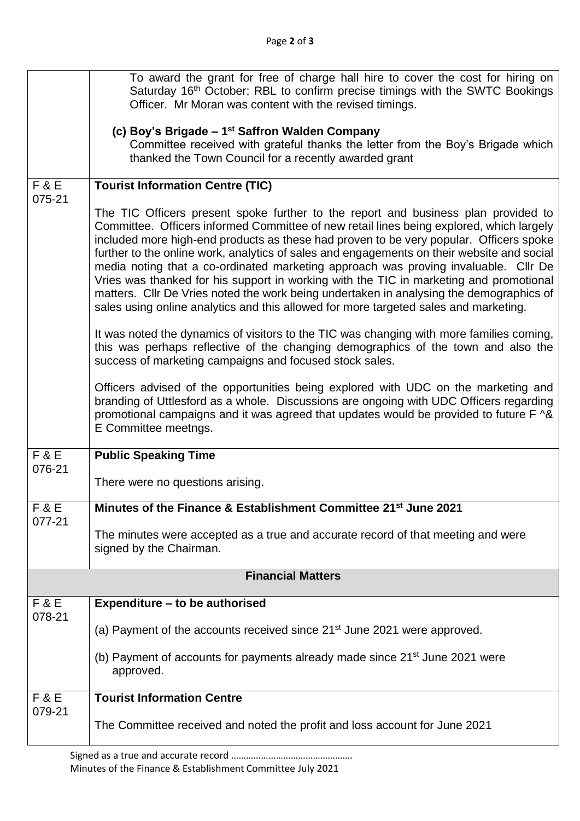|                          | To award the grant for free of charge hall hire to cover the cost for hiring on<br>Saturday 16 <sup>th</sup> October; RBL to confirm precise timings with the SWTC Bookings<br>Officer. Mr Moran was content with the revised timings.                                                                                                                                                                                                                                                                                                                                                                                                                                                                                                     |  |
|--------------------------|--------------------------------------------------------------------------------------------------------------------------------------------------------------------------------------------------------------------------------------------------------------------------------------------------------------------------------------------------------------------------------------------------------------------------------------------------------------------------------------------------------------------------------------------------------------------------------------------------------------------------------------------------------------------------------------------------------------------------------------------|--|
|                          | (c) Boy's Brigade - 1 <sup>st</sup> Saffron Walden Company<br>Committee received with grateful thanks the letter from the Boy's Brigade which<br>thanked the Town Council for a recently awarded grant                                                                                                                                                                                                                                                                                                                                                                                                                                                                                                                                     |  |
| F&E<br>075-21            | <b>Tourist Information Centre (TIC)</b>                                                                                                                                                                                                                                                                                                                                                                                                                                                                                                                                                                                                                                                                                                    |  |
|                          | The TIC Officers present spoke further to the report and business plan provided to<br>Committee. Officers informed Committee of new retail lines being explored, which largely<br>included more high-end products as these had proven to be very popular. Officers spoke<br>further to the online work, analytics of sales and engagements on their website and social<br>media noting that a co-ordinated marketing approach was proving invaluable. Cllr De<br>Vries was thanked for his support in working with the TIC in marketing and promotional<br>matters. Cllr De Vries noted the work being undertaken in analysing the demographics of<br>sales using online analytics and this allowed for more targeted sales and marketing. |  |
|                          | It was noted the dynamics of visitors to the TIC was changing with more families coming,<br>this was perhaps reflective of the changing demographics of the town and also the<br>success of marketing campaigns and focused stock sales.                                                                                                                                                                                                                                                                                                                                                                                                                                                                                                   |  |
|                          | Officers advised of the opportunities being explored with UDC on the marketing and<br>branding of Uttlesford as a whole. Discussions are ongoing with UDC Officers regarding<br>promotional campaigns and it was agreed that updates would be provided to future F ^&<br>E Committee meetngs.                                                                                                                                                                                                                                                                                                                                                                                                                                              |  |
| F & E<br>076-21          | <b>Public Speaking Time</b>                                                                                                                                                                                                                                                                                                                                                                                                                                                                                                                                                                                                                                                                                                                |  |
|                          | There were no questions arising.                                                                                                                                                                                                                                                                                                                                                                                                                                                                                                                                                                                                                                                                                                           |  |
| F & E<br>077-21          | Minutes of the Finance & Establishment Committee 21st June 2021                                                                                                                                                                                                                                                                                                                                                                                                                                                                                                                                                                                                                                                                            |  |
|                          | The minutes were accepted as a true and accurate record of that meeting and were<br>signed by the Chairman.                                                                                                                                                                                                                                                                                                                                                                                                                                                                                                                                                                                                                                |  |
| <b>Financial Matters</b> |                                                                                                                                                                                                                                                                                                                                                                                                                                                                                                                                                                                                                                                                                                                                            |  |
| F&E<br>078-21            | Expenditure - to be authorised                                                                                                                                                                                                                                                                                                                                                                                                                                                                                                                                                                                                                                                                                                             |  |
|                          | (a) Payment of the accounts received since 21 <sup>st</sup> June 2021 were approved.                                                                                                                                                                                                                                                                                                                                                                                                                                                                                                                                                                                                                                                       |  |
|                          | (b) Payment of accounts for payments already made since 21 <sup>st</sup> June 2021 were<br>approved.                                                                                                                                                                                                                                                                                                                                                                                                                                                                                                                                                                                                                                       |  |
| F&E<br>079-21            | <b>Tourist Information Centre</b>                                                                                                                                                                                                                                                                                                                                                                                                                                                                                                                                                                                                                                                                                                          |  |
|                          | The Committee received and noted the profit and loss account for June 2021                                                                                                                                                                                                                                                                                                                                                                                                                                                                                                                                                                                                                                                                 |  |